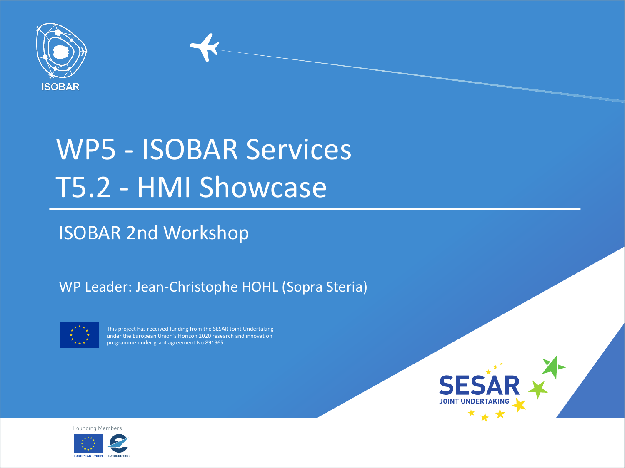

## WP5 - ISOBAR Services T5.2 - HMI Showcase

#### ISOBAR 2nd Workshop

#### WP Leader: Jean-Christophe HOHL (Sopra Steria)



This project has received funding from the SESAR Joint Undertaking under the European Union's Horizon 2020 research and innovation programme under grant agreement No 891965.



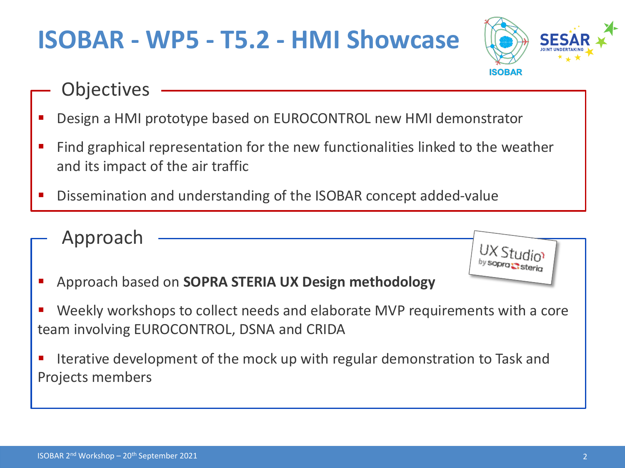### **ISOBAR - WP5 - T5.2 - HMI Showcase**



- **Objectives**
- § Design a HMI prototype based on EUROCONTROL new HMI demonstrator
- Find graphical representation for the new functionalities linked to the weather and its impact of the air traffic
- § Dissemination and understanding of the ISOBAR concept added-value
- Approach
- § Approach based on **SOPRA STERIA UX Design methodology**
- § Weekly workshops to collect needs and elaborate MVP requirements with a core team involving EUROCONTROL, DSNA and CRIDA
- Iterative development of the mock up with regular demonstration to Task and Projects members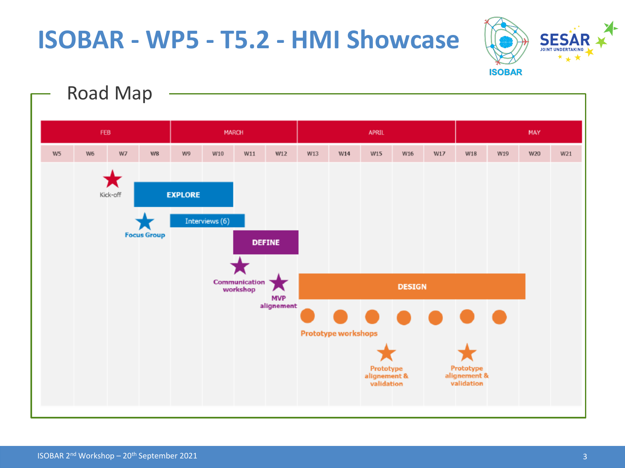### **ISOBAR - WP5 - T5.2 - HMI Showcase**



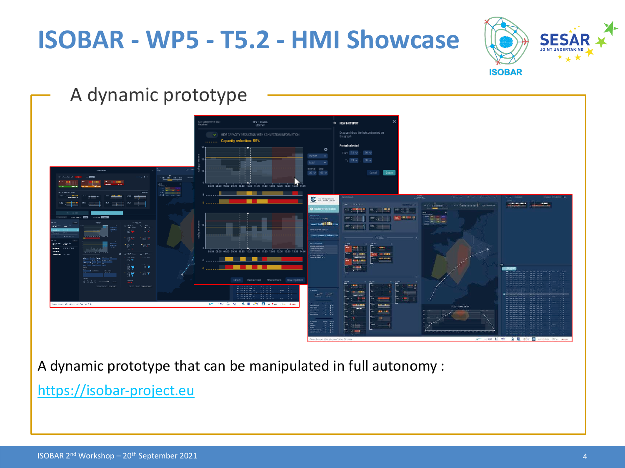### **ISOBAR - WP5 - T5.2 - HMI Showcase**



### A dynamic prototype



A dynamic prototype that can be manipulated in full autonomy :

https://isobar-project.eu